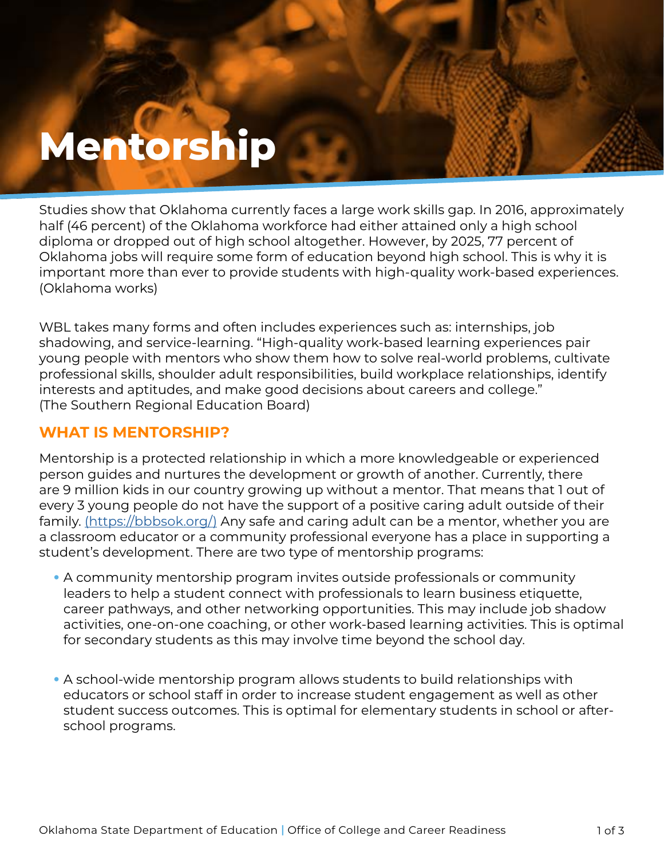# **Mentorship**

**Mentorship**

Studies show that Oklahoma currently faces a large work skills gap. In 2016, approximately half (46 percent) of the Oklahoma workforce had either attained only a high school diploma or dropped out of high school altogether. However, by 2025, 77 percent of Oklahoma jobs will require some form of education beyond high school. This is why it is important more than ever to provide students with high-quality work-based experiences. (Oklahoma works)

WBL takes many forms and often includes experiences such as: internships, job shadowing, and service-learning. "High-quality work-based learning experiences pair young people with mentors who show them how to solve real-world problems, cultivate professional skills, shoulder adult responsibilities, build workplace relationships, identify interests and aptitudes, and make good decisions about careers and college." (The Southern Regional Education Board)

## **WHAT IS MENTORSHIP?**

Mentorship is a protected relationship in which a more knowledgeable or experienced person guides and nurtures the development or growth of another. Currently, there are 9 million kids in our country growing up without a mentor. That means that 1 out of every 3 young people do not have the support of a positive caring adult outside of their family. [\(https://bbbsok.org/\)]((https://bbbsok.org/)) Any safe and caring adult can be a mentor, whether you are a classroom educator or a community professional everyone has a place in supporting a student's development. There are two type of mentorship programs:

- A community mentorship program invites outside professionals or community leaders to help a student connect with professionals to learn business etiquette, career pathways, and other networking opportunities. This may include job shadow activities, one-on-one coaching, or other work-based learning activities. This is optimal for secondary students as this may involve time beyond the school day.
- A school-wide mentorship program allows students to build relationships with educators or school staff in order to increase student engagement as well as other student success outcomes. This is optimal for elementary students in school or afterschool programs.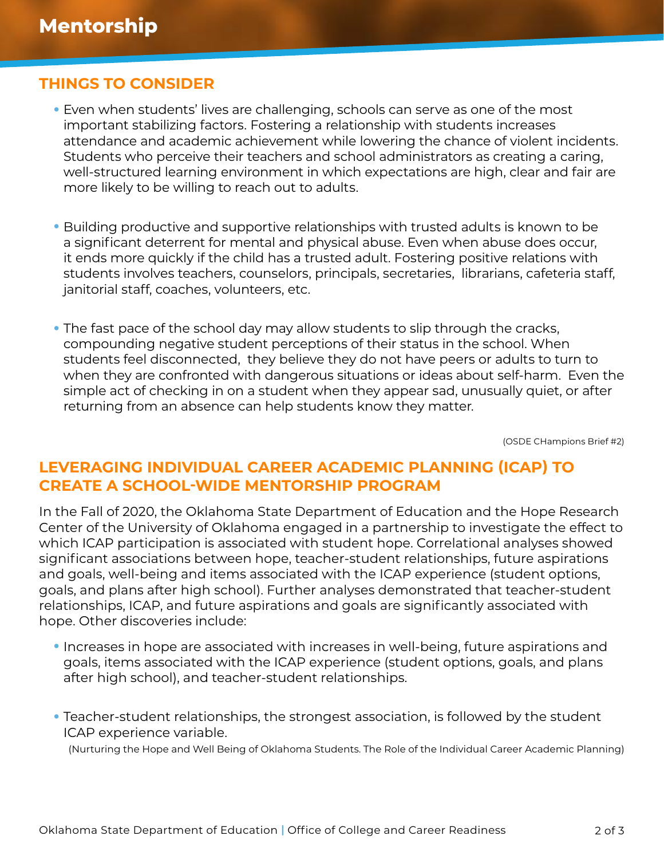### **THINGS TO CONSIDER**

- Even when students' lives are challenging, schools can serve as one of the most important stabilizing factors. Fostering a relationship with students increases attendance and academic achievement while lowering the chance of violent incidents. Students who perceive their teachers and school administrators as creating a caring, well-structured learning environment in which expectations are high, clear and fair are more likely to be willing to reach out to adults.
- Building productive and supportive relationships with trusted adults is known to be a significant deterrent for mental and physical abuse. Even when abuse does occur, it ends more quickly if the child has a trusted adult. Fostering positive relations with students involves teachers, counselors, principals, secretaries, librarians, cafeteria staff, janitorial staff, coaches, volunteers, etc.
- The fast pace of the school day may allow students to slip through the cracks, compounding negative student perceptions of their status in the school. When students feel disconnected, they believe they do not have peers or adults to turn to when they are confronted with dangerous situations or ideas about self-harm. Even the simple act of checking in on a student when they appear sad, unusually quiet, or after returning from an absence can help students know they matter.

(OSDE CHampions Brief #2)

#### **LEVERAGING INDIVIDUAL CAREER ACADEMIC PLANNING (ICAP) TO CREATE A SCHOOL-WIDE MENTORSHIP PROGRAM**

In the Fall of 2020, the Oklahoma State Department of Education and the Hope Research Center of the University of Oklahoma engaged in a partnership to investigate the effect to which ICAP participation is associated with student hope. Correlational analyses showed significant associations between hope, teacher-student relationships, future aspirations and goals, well-being and items associated with the ICAP experience (student options, goals, and plans after high school). Further analyses demonstrated that teacher-student relationships, ICAP, and future aspirations and goals are significantly associated with hope. Other discoveries include:

- Increases in hope are associated with increases in well-being, future aspirations and goals, items associated with the ICAP experience (student options, goals, and plans after high school), and teacher-student relationships.
- Teacher-student relationships, the strongest association, is followed by the student ICAP experience variable.

(Nurturing the Hope and Well Being of Oklahoma Students. The Role of the Individual Career Academic Planning)